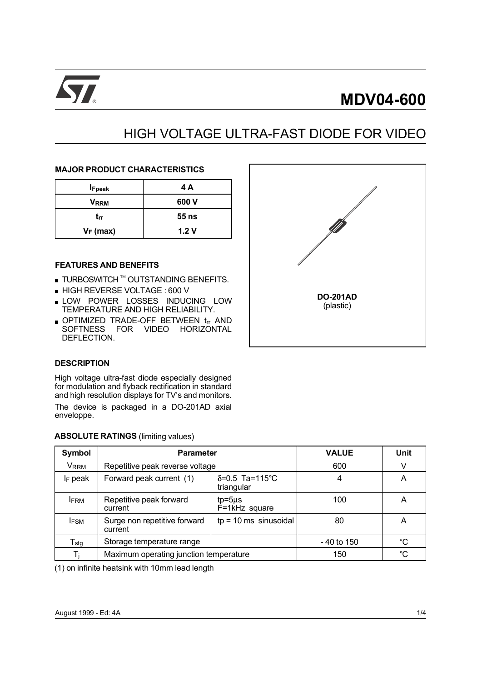

# $\sqrt{2}$  MDV04-600

## HIGH VOLTAGE ULTRA-FAST DIODE FOR VIDEO

#### MAJOR PRODUCT CHARACTERISTICS

| <b>I</b> Fpeak | 4 A   |
|----------------|-------|
| <b>VRRM</b>    | 600 V |
| trr            | 55 ns |
| $V_F$ (max)    | 1.2V  |

#### FEATURES AND BENEFITS

- $\blacksquare$  TURBOSWITCH  $^{\text{\tiny{TM}}}$  OUTSTANDING BENEFITS.
- HIGH REVERSE VOLTAGE : 600 V
- **LOW POWER LOSSES INDUCING LOW** TEMPERATURE AND HIGH RELIABILITY.
- OPTIMIZED TRADE-OFF BETWEEN trr AND SOFTNESS FOR VIDEO HORIZONTAL DEFLECTION.



#### **DESCRIPTION**

High voltage ultra-fast diode especially designed for modulation and flyback rectification in standard and high resolution displays for TV's and monitors.

The device is packaged in a DO-201AD axial enveloppe.

| <b>ABSOLUTE RATINGS</b> (limiting values) |  |
|-------------------------------------------|--|
|                                           |  |

 $A = A + I$ 

| Symbol                    | <b>Parameter</b>                                                         | <b>VALUE</b> | <b>Unit</b> |   |
|---------------------------|--------------------------------------------------------------------------|--------------|-------------|---|
| Vrrm                      | Repetitive peak reverse voltage                                          | 600          | V           |   |
| $I_F$ peak                | Forward peak current (1)                                                 | 4            | Α           |   |
| <b>IFRM</b>               | Repetitive peak forward<br>$tp = 5\mu s$<br>$F = 1kHz$ square<br>current |              | 100         | Α |
| <b>IFSM</b>               | $tp = 10$ ms sinusoidal<br>Surge non repetitive forward<br>current       |              | 80          | Α |
| $\mathsf{T}_{\text{stg}}$ | Storage temperature range                                                | - 40 to 150  | °C          |   |
|                           | Maximum operating junction temperature                                   | 150          | °C          |   |

(1) on infinite heatsink with 10mm lead length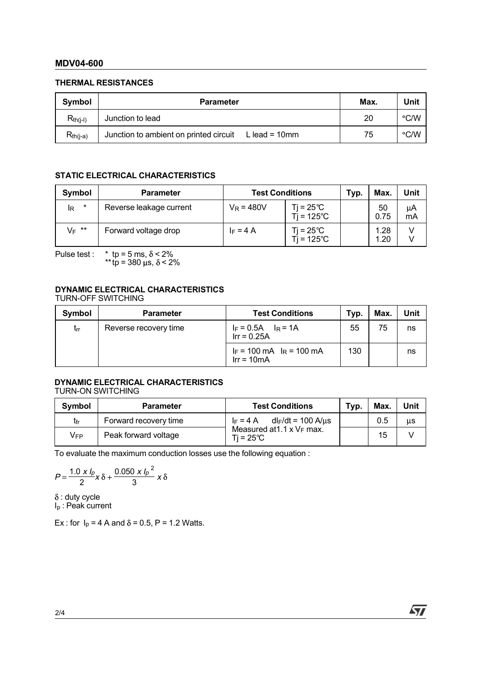#### MDV04-600

#### THERMAL RESISTANCES

| Symbol        | <b>Parameter</b>                                                  | Max. | Unit               |
|---------------|-------------------------------------------------------------------|------|--------------------|
| $R_{th(i-l)}$ | Junction to lead                                                  | 20   | $\degree$ C/W      |
| $R_{th(i-a)}$ | Junction to ambient on printed circuit<br>L lead = 10 $\text{mm}$ | 75   | $\rm ^{\circ}$ C/W |

### STATIC ELECTRICAL CHARACTERISTICS

| Symbol        | <b>Parameter</b>        | <b>Test Conditions</b> | Typ.                                      | Max. | Unit         |          |
|---------------|-------------------------|------------------------|-------------------------------------------|------|--------------|----------|
| $\star$<br>lR | Reverse leakage current | $V_R = 480V$           | $Ti = 25^{\circ}C$<br>$Ti = 125^{\circ}C$ |      | 50<br>0.75   | μA<br>mA |
| $V_F$ **      | Forward voltage drop    | $I_F = 4 A$            | $Ti = 25^{\circ}C$<br>$Ti = 125^{\circ}C$ |      | 1.28<br>1.20 |          |

Pulse test : \* tp = 5 ms,  $\delta$  < 2%

\*\* tp = 380  $\mu$ s,  $\delta$  < 2%

#### DYNAMIC ELECTRICAL CHARACTERISTICS TURN-OFF SWITCHING

| Symbol   | <b>Parameter</b>      | <b>Test Conditions</b>                        | Typ. | Max. | Unit |
|----------|-----------------------|-----------------------------------------------|------|------|------|
| $t_{rr}$ | Reverse recovery time | $I_F = 0.5A$ $I_R = 1A$<br>$Irr = 0.25A$      | 55   | 75   | ns   |
|          |                       | $I_F$ = 100 mA $I_R$ = 100 mA<br>$Irr = 10mA$ | 130  |      | ns   |

#### DYNAMIC ELECTRICAL CHARACTERISTICS TURN-ON SWITCHING

| Symbol | <b>Parameter</b>      | <b>Test Conditions</b><br>Tvp.                          |  |     |    |  |  |
|--------|-----------------------|---------------------------------------------------------|--|-----|----|--|--|
| tfr    | Forward recovery time | $I_F = 4 A$ dl <sub>F</sub> /dt = 100 A/us              |  | 0.5 | μs |  |  |
| Vfp    | Peak forward voltage  | Measured at $1.1 \times V_F$ max.<br>$Ti = 25^{\circ}C$ |  | 15  |    |  |  |

To evaluate the maximum conduction losses use the following equation :

$$
P = \frac{1.0 \times I_p}{2} \times \delta + \frac{0.050 \times I_p^2}{3} \times \delta
$$

 $\delta$ : duty cycle

Ip : Peak current

Ex : for  $I_p = 4$  A and  $\delta = 0.5$ , P = 1.2 Watts.

57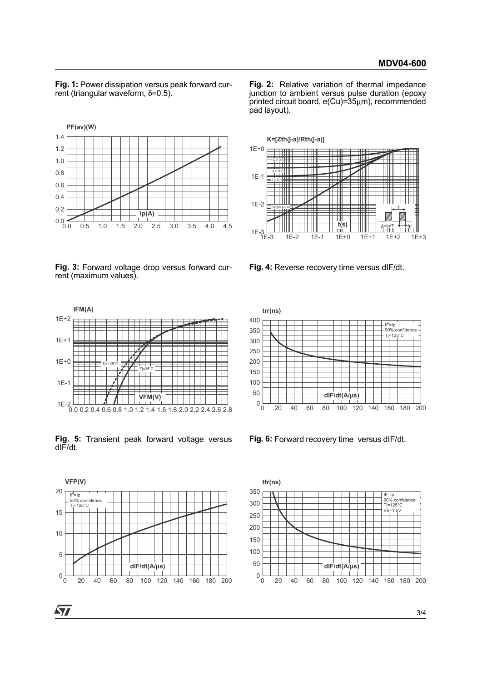Fig. 1: Power dissipation versus peak forward current (triangular waveform,  $\delta = 0.5$ ).



Fig. 2: Relative variation of thermal impedance junction to ambient versus pulse duration (epoxy printed circuit board, e(Cu)=35um), recommended pad layout).



Fig. 3: Forward voltage drop versus forward current (maximum values).



Fig. 5: Transient peak forward voltage versus dIF/dt.



Fig. 6: Forward recovery time versus dIF/dt.

tfr(ns)



dIF/dt(A/µs)<br>
0 20 40 60 80 100 120 140 160 180 200<br>
1. 6: Forward recovery time versus dIF/dt.<br>
tr(ns)<br>  $\leftarrow \frac{17/25^\circ}{17/125^\circ}$ <br>  $\leftarrow \frac{17/25^\circ}{17/125^\circ}$ <br>  $\leftarrow \frac{17/25^\circ}{17/125^\circ}$ <br>
0 20 40 60 80 100 120 140 160 180 2  $0.10.20.10.20.10.100.100.100.100.1$  $50$  dIF/dt(A/µs)  $\frac{1}{2}$  dIF/dt(A/µs) 100 150 200 250 300 350 IF=Ip 90% confidence Tj=125°C  $Vfr=1.5V$ 

Fig. 4: Reverse recovery time versus dIF/dt.